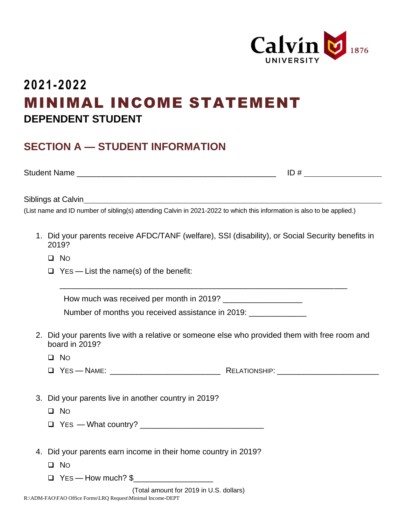

## **2021-2022** MINIMAL INCOME STATEMENT **DEPENDENT STUDENT**

## **SECTION A — STUDENT INFORMATION**

Student Name \_\_\_\_\_\_\_\_\_\_\_\_\_\_\_\_\_\_\_\_\_\_\_\_\_\_\_\_\_\_\_\_\_\_\_\_\_\_\_\_\_\_\_\_\_ ID #

Siblings at Calvin

(List name and ID number of sibling(s) attending Calvin in 2021-2022 to which this information is also to be applied.)

- 1. Did your parents receive AFDC/TANF (welfare), SSI (disability), or Social Security benefits in 2019?
	- ❑ NO
	- $\Box$  Yes List the name(s) of the benefit:

How much was received per month in 2019? \_\_\_\_\_\_\_\_\_\_\_\_\_\_\_\_\_\_

Number of months you received assistance in 2019: \_\_\_\_\_\_\_\_\_\_\_\_\_\_\_\_\_\_\_\_\_\_\_\_\_\_\_\_\_\_

2. Did your parents live with a relative or someone else who provided them with free room and board in 2019?

\_\_\_\_\_\_\_\_\_\_\_\_\_\_\_\_\_\_\_\_\_\_\_\_\_\_\_\_\_\_\_\_\_\_\_\_\_\_\_\_\_\_\_\_\_\_\_\_\_\_\_\_\_\_\_\_\_\_\_\_\_\_\_\_\_

- ❑ NO
- ❑ YES NAME: \_\_\_\_\_\_\_\_\_\_\_\_\_\_\_\_\_\_\_\_\_\_\_\_\_ RELATIONSHIP: \_\_\_\_\_\_\_\_\_\_\_\_\_\_\_\_\_\_\_\_\_\_\_
- 3. Did your parents live in another country in 2019?
	- ❑ NO
	- ❑ YES What country? \_\_\_\_\_\_\_\_\_\_\_\_\_\_\_\_\_\_\_\_\_\_\_\_\_\_\_\_
- 4. Did your parents earn income in their home country in 2019?
	- ❑ NO
	- $\Box$  Yes How much?  $\$\$

(Total amount for 2019 in U.S. dollars)